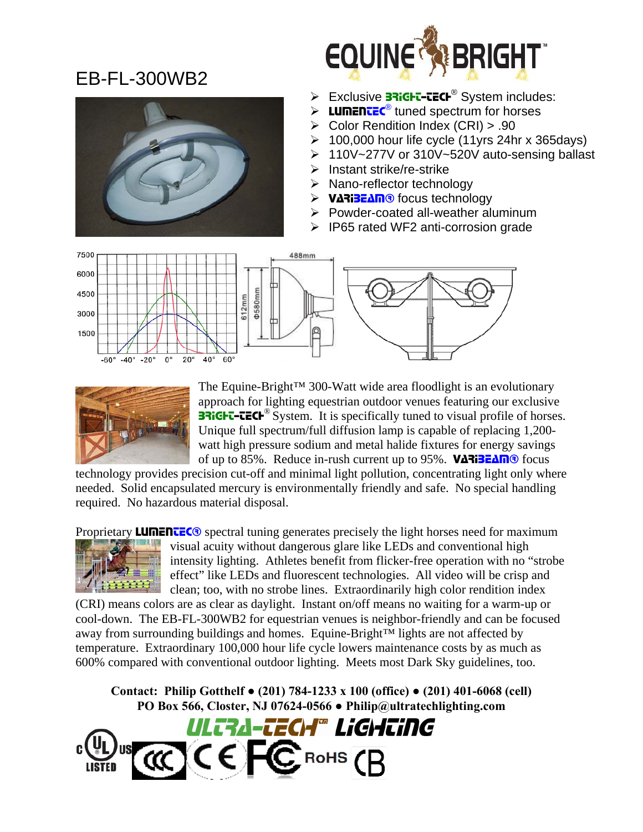## EB-FL-300WB2



- > Exclusive **BRIGHT-TECH<sup>®</sup> System includes:**
- $\triangleright$  **LUMENTEC<sup>®</sup>** tuned spectrum for horses
- ¾ Color Rendition Index (CRI) > .90
- $\geq 100,000$  hour life cycle (11yrs 24hr x 365days)
- ¾ 110V~277V or 310V~520V auto-sensing ballast
- $\triangleright$  Instant strike/re-strike
- $\triangleright$  Nano-reflector technology
- **EXAME** focus technology
- ¾ Powder-coated all-weather aluminum
- ¾ IP65 rated WF2 anti-corrosion grade





The Equine-Bright™ 300-Watt wide area floodlight is an evolutionary approach for lighting equestrian outdoor venues featuring our exclusive **BRIGHT-TECH**<sup>®</sup> System. It is specifically tuned to visual profile of horses. Unique full spectrum/full diffusion lamp is capable of replacing 1,200 watt high pressure sodium and metal halide fixtures for energy savings of up to 85%. Reduce in-rush current up to 95%. VARIBEAM<sup>®</sup> focus

technology provides precision cut-off and minimal light pollution, concentrating light only where needed. Solid encapsulated mercury is environmentally friendly and safe. No special handling required. No hazardous material disposal.

Proprietary **LUMENTEC**® spectral tuning generates precisely the light horses need for maximum



visual acuity without dangerous glare like LEDs and conventional high intensity lighting. Athletes benefit from flicker-free operation with no "strobe effect" like LEDs and fluorescent technologies. All video will be crisp and clean; too, with no strobe lines. Extraordinarily high color rendition index

(CRI) means colors are as clear as daylight. Instant on/off means no waiting for a warm-up or cool-down. The EB-FL-300WB2 for equestrian venues is neighbor-friendly and can be focused away from surrounding buildings and homes. Equine-Bright™ lights are not affected by temperature. Extraordinary 100,000 hour life cycle lowers maintenance costs by as much as 600% compared with conventional outdoor lighting. Meets most Dark Sky guidelines, too.

**Contact: Philip Gotthelf ● (201) 784-1233 x 100 (office) ● (201) 401-6068 (cell) PO Box 566, Closter, NJ 07624-0566 ● Philip@ultratechlighting.com**